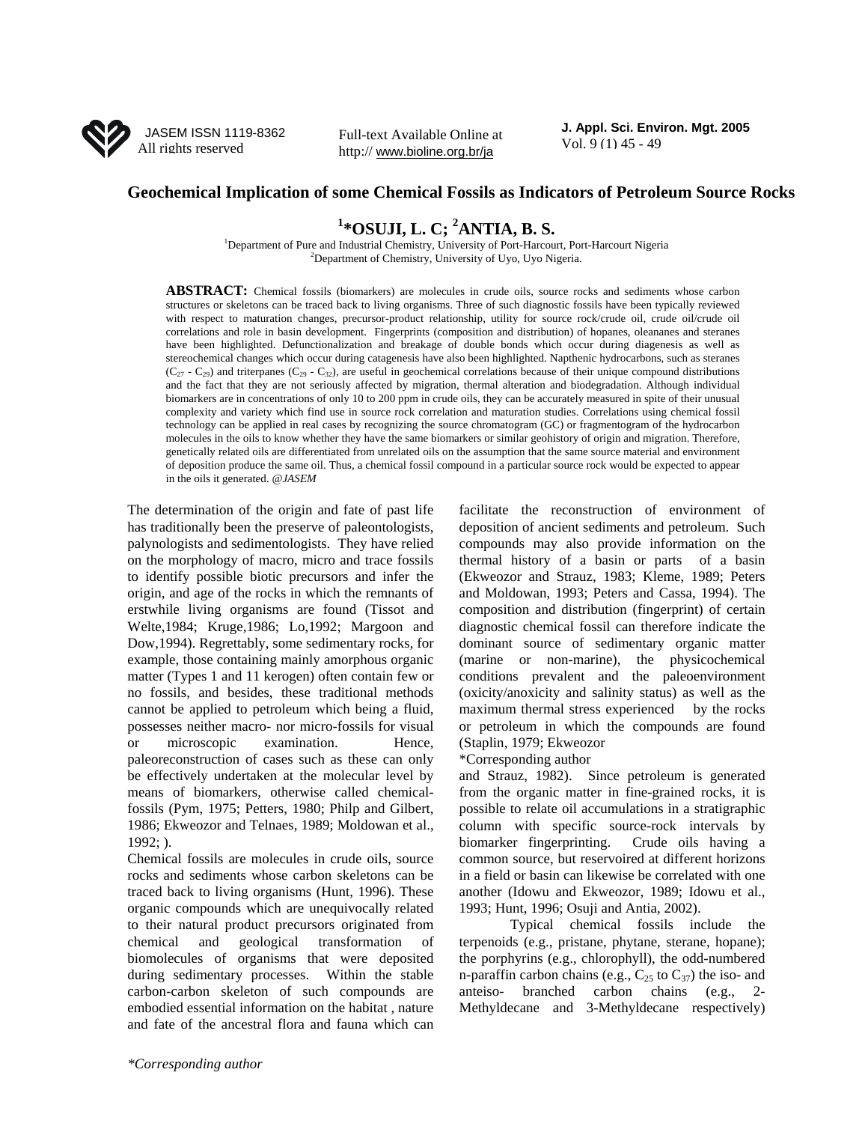

Full-text Available Online at <br>Vol. 9 (1) 45 - 49 http:// www.bioline.org.br/ja

**J. Appl. Sci. Environ. Mgt. 2005** 

## **Geochemical Implication of some Chemical Fossils as Indicators of Petroleum Source Rocks**

# **<sup>1</sup> \*OSUJI, L. C; <sup>2</sup> ANTIA, B. S.**

<sup>1</sup>Department of Pure and Industrial Chemistry, University of Port-Harcourt, Port-Harcourt Nigeria <sup>2</sup>Department of Chemistry, University of Uyo, Uyo Nigeria.

**ABSTRACT:** Chemical fossils (biomarkers) are molecules in crude oils, source rocks and sediments whose carbon structures or skeletons can be traced back to living organisms. Three of such diagnostic fossils have been typically reviewed with respect to maturation changes, precursor-product relationship, utility for source rock/crude oil, crude oil/crude oil correlations and role in basin development. Fingerprints (composition and distribution) of hopanes, oleananes and steranes have been highlighted. Defunctionalization and breakage of double bonds which occur during diagenesis as well as stereochemical changes which occur during catagenesis have also been highlighted. Napthenic hydrocarbons, such as steranes  $(C_{27} - C_{29})$  and triterpanes  $(C_{29} - C_{32})$ , are useful in geochemical correlations because of their unique compound distributions and the fact that they are not seriously affected by migration, thermal alteration and biodegradation. Although individual biomarkers are in concentrations of only 10 to 200 ppm in crude oils, they can be accurately measured in spite of their unusual complexity and variety which find use in source rock correlation and maturation studies. Correlations using chemical fossil technology can be applied in real cases by recognizing the source chromatogram (GC) or fragmentogram of the hydrocarbon molecules in the oils to know whether they have the same biomarkers or similar geohistory of origin and migration. Therefore, genetically related oils are differentiated from unrelated oils on the assumption that the same source material and environment of deposition produce the same oil. Thus, a chemical fossil compound in a particular source rock would be expected to appear in the oils it generated. *@JASEM*

The determination of the origin and fate of past life has traditionally been the preserve of paleontologists, palynologists and sedimentologists. They have relied on the morphology of macro, micro and trace fossils to identify possible biotic precursors and infer the origin, and age of the rocks in which the remnants of erstwhile living organisms are found (Tissot and Welte,1984; Kruge,1986; Lo,1992; Margoon and Dow,1994). Regrettably, some sedimentary rocks, for example, those containing mainly amorphous organic matter (Types 1 and 11 kerogen) often contain few or no fossils, and besides, these traditional methods cannot be applied to petroleum which being a fluid, possesses neither macro- nor micro-fossils for visual or microscopic examination. Hence, paleoreconstruction of cases such as these can only be effectively undertaken at the molecular level by means of biomarkers, otherwise called chemicalfossils (Pym, 1975; Petters, 1980; Philp and Gilbert, 1986; Ekweozor and Telnaes, 1989; Moldowan et al., 1992; ).

Chemical fossils are molecules in crude oils, source rocks and sediments whose carbon skeletons can be traced back to living organisms (Hunt, 1996). These organic compounds which are unequivocally related to their natural product precursors originated from chemical and geological transformation of biomolecules of organisms that were deposited during sedimentary processes. Within the stable carbon-carbon skeleton of such compounds are embodied essential information on the habitat , nature and fate of the ancestral flora and fauna which can

facilitate the reconstruction of environment of deposition of ancient sediments and petroleum. Such compounds may also provide information on the thermal history of a basin or parts of a basin (Ekweozor and Strauz, 1983; Kleme, 1989; Peters and Moldowan, 1993; Peters and Cassa, 1994). The composition and distribution (fingerprint) of certain diagnostic chemical fossil can therefore indicate the dominant source of sedimentary organic matter (marine or non-marine), the physicochemical conditions prevalent and the paleoenvironment (oxicity/anoxicity and salinity status) as well as the maximum thermal stress experienced by the rocks or petroleum in which the compounds are found (Staplin, 1979; Ekweozor

## \*Corresponding author

and Strauz, 1982). Since petroleum is generated from the organic matter in fine-grained rocks, it is possible to relate oil accumulations in a stratigraphic column with specific source-rock intervals by biomarker fingerprinting. Crude oils having a common source, but reservoired at different horizons in a field or basin can likewise be correlated with one another (Idowu and Ekweozor, 1989; Idowu et al., 1993; Hunt, 1996; Osuji and Antia, 2002).

 Typical chemical fossils include the terpenoids (e.g., pristane, phytane, sterane, hopane); the porphyrins (e.g., chlorophyll), the odd-numbered n-paraffin carbon chains (e.g.,  $C_{25}$  to  $C_{37}$ ) the iso- and anteiso- branched carbon chains (e.g., 2- Methyldecane and 3-Methyldecane respectively)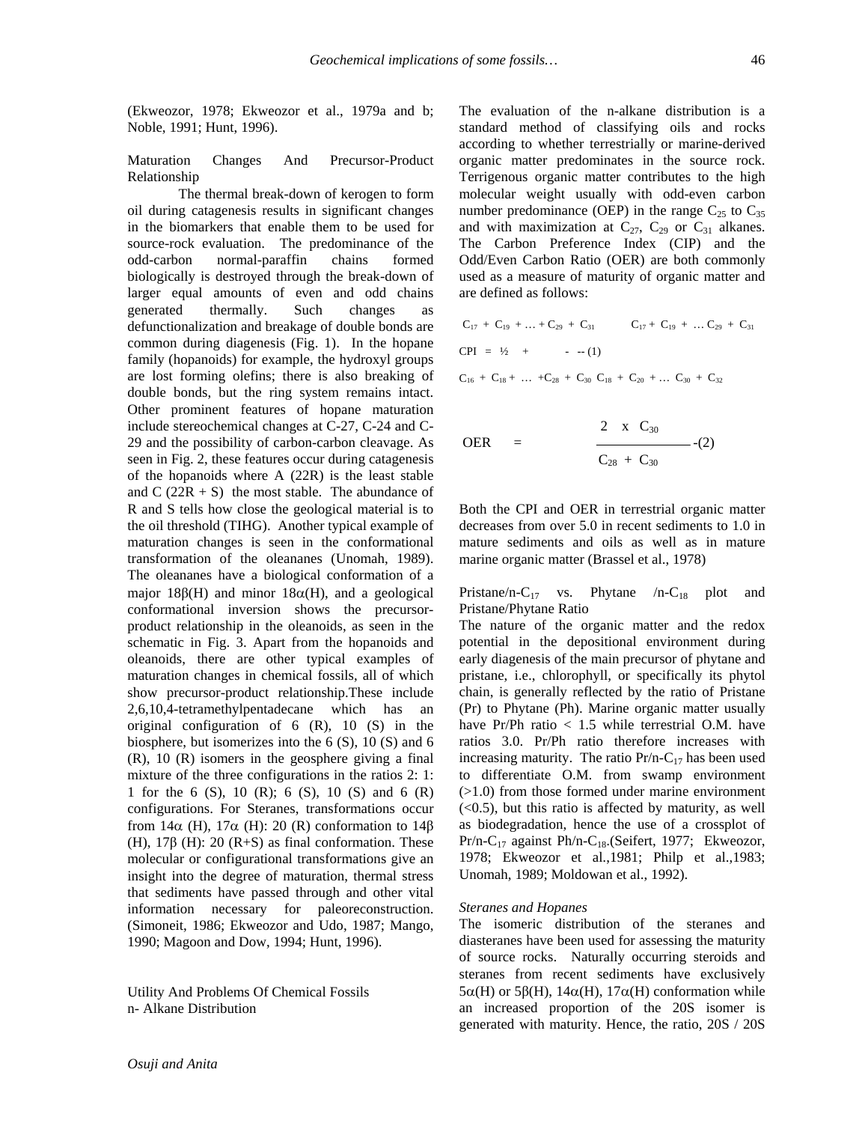(Ekweozor, 1978; Ekweozor et al., 1979a and b; Noble, 1991; Hunt, 1996).

Maturation Changes And Precursor-Product Relationship

 The thermal break-down of kerogen to form oil during catagenesis results in significant changes in the biomarkers that enable them to be used for source-rock evaluation. The predominance of the odd-carbon normal-paraffin chains formed biologically is destroyed through the break-down of larger equal amounts of even and odd chains generated thermally. Such changes as defunctionalization and breakage of double bonds are common during diagenesis (Fig. 1). In the hopane family (hopanoids) for example, the hydroxyl groups are lost forming olefins; there is also breaking of double bonds, but the ring system remains intact. Other prominent features of hopane maturation include stereochemical changes at C-27, C-24 and C-29 and the possibility of carbon-carbon cleavage. As seen in Fig. 2, these features occur during catagenesis of the hopanoids where A (22R) is the least stable and  $C (22R + S)$  the most stable. The abundance of R and S tells how close the geological material is to the oil threshold (TIHG). Another typical example of maturation changes is seen in the conformational transformation of the oleananes (Unomah, 1989). The oleananes have a biological conformation of a major 18 $\beta$ (H) and minor 18 $\alpha$ (H), and a geological conformational inversion shows the precursorproduct relationship in the oleanoids, as seen in the schematic in Fig. 3. Apart from the hopanoids and oleanoids, there are other typical examples of maturation changes in chemical fossils, all of which show precursor-product relationship.These include 2,6,10,4-tetramethylpentadecane which has an original configuration of  $6$  (R),  $10$  (S) in the biosphere, but isomerizes into the  $6(S)$ ,  $10(S)$  and  $6$ (R), 10 (R) isomers in the geosphere giving a final mixture of the three configurations in the ratios 2: 1: 1 for the 6 (S), 10 (R); 6 (S), 10 (S) and 6 (R) configurations. For Steranes, transformations occur from 14 $\alpha$  (H), 17 $\alpha$  (H): 20 (R) conformation to 14 $\beta$ (H),  $17\beta$  (H): 20 (R+S) as final conformation. These molecular or configurational transformations give an insight into the degree of maturation, thermal stress that sediments have passed through and other vital information necessary for paleoreconstruction. (Simoneit, 1986; Ekweozor and Udo, 1987; Mango, 1990; Magoon and Dow, 1994; Hunt, 1996).

Utility And Problems Of Chemical Fossils n- Alkane Distribution

The evaluation of the n-alkane distribution is a standard method of classifying oils and rocks according to whether terrestrially or marine-derived organic matter predominates in the source rock. Terrigenous organic matter contributes to the high molecular weight usually with odd-even carbon number predominance (OEP) in the range  $C_{25}$  to  $C_{35}$ and with maximization at  $C_{27}$ ,  $C_{29}$  or  $C_{31}$  alkanes. The Carbon Preference Index (CIP) and the Odd/Even Carbon Ratio (OER) are both commonly used as a measure of maturity of organic matter and are defined as follows:

$$
C_{17} + C_{19} + ... + C_{29} + C_{31}
$$
  $C_{17} + C_{19} + ... C_{29} + C_{31}$   
\n
$$
CPI = \frac{1}{2} + ... + C_{28} + C_{30} C_{18} + C_{20} + ... C_{30} + C_{32}
$$

OER = 
$$
\frac{2 \times C_{30}}{C_{28} + C_{30}} - (2)
$$

Both the CPI and OER in terrestrial organic matter decreases from over 5.0 in recent sediments to 1.0 in mature sediments and oils as well as in mature marine organic matter (Brassel et al., 1978)

Pristane/n-C<sub>17</sub> vs. Phytane /n-C<sub>18</sub> plot and Pristane/Phytane Ratio

The nature of the organic matter and the redox potential in the depositional environment during early diagenesis of the main precursor of phytane and pristane, i.e., chlorophyll, or specifically its phytol chain, is generally reflected by the ratio of Pristane (Pr) to Phytane (Ph). Marine organic matter usually have Pr/Ph ratio < 1.5 while terrestrial O.M. have ratios 3.0. Pr/Ph ratio therefore increases with increasing maturity. The ratio  $Pr/n-C_{17}$  has been used to differentiate O.M. from swamp environment  $(>1.0)$  from those formed under marine environment  $( $0.5$ ), but this ratio is affected by maturity, as well$ as biodegradation, hence the use of a crossplot of  $Pr/n-C_{17}$  against  $Ph/n-C_{18}$ . (Seifert, 1977; Ekweozor, 1978; Ekweozor et al.,1981; Philp et al.,1983; Unomah, 1989; Moldowan et al., 1992).

### *Steranes and Hopanes*

The isomeric distribution of the steranes and diasteranes have been used for assessing the maturity of source rocks. Naturally occurring steroids and steranes from recent sediments have exclusively 5α(H) or 5β(H), 14α(H), 17α(H) conformation while an increased proportion of the 20S isomer is generated with maturity. Hence, the ratio, 20S / 20S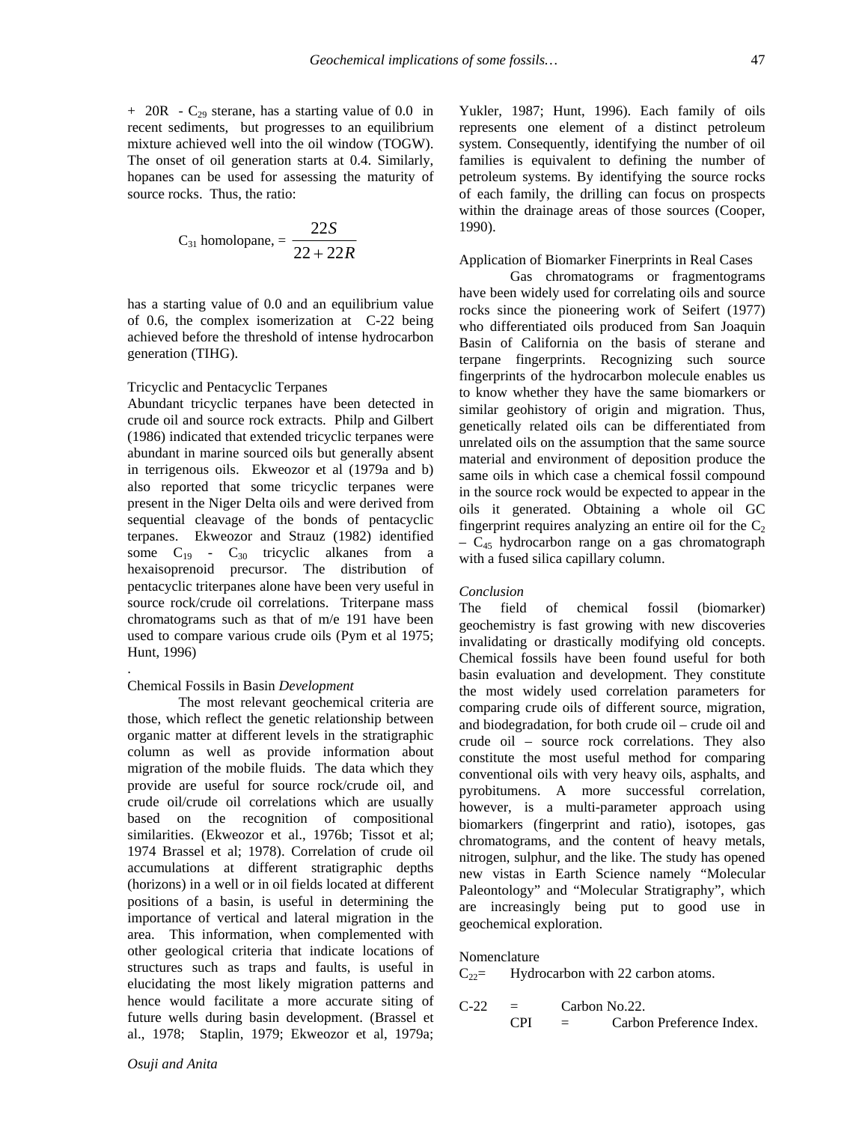$+$  20R - C<sub>29</sub> sterane, has a starting value of 0.0 in recent sediments, but progresses to an equilibrium mixture achieved well into the oil window (TOGW). The onset of oil generation starts at 0.4. Similarly, hopanes can be used for assessing the maturity of source rocks. Thus, the ratio:

$$
C_{31} \text{ homolopane,} = \frac{22S}{22 + 22R}
$$

has a starting value of 0.0 and an equilibrium value of 0.6, the complex isomerization at C-22 being achieved before the threshold of intense hydrocarbon generation (TIHG).

### Tricyclic and Pentacyclic Terpanes

Abundant tricyclic terpanes have been detected in crude oil and source rock extracts. Philp and Gilbert (1986) indicated that extended tricyclic terpanes were abundant in marine sourced oils but generally absent in terrigenous oils. Ekweozor et al (1979a and b) also reported that some tricyclic terpanes were present in the Niger Delta oils and were derived from sequential cleavage of the bonds of pentacyclic terpanes. Ekweozor and Strauz (1982) identified some  $C_{19}$  -  $C_{30}$  tricyclic alkanes from a hexaisoprenoid precursor. The distribution of pentacyclic triterpanes alone have been very useful in source rock/crude oil correlations. Triterpane mass chromatograms such as that of m/e 191 have been used to compare various crude oils (Pym et al 1975; Hunt, 1996)

#### Chemical Fossils in Basin *Development*

.

 The most relevant geochemical criteria are those, which reflect the genetic relationship between organic matter at different levels in the stratigraphic column as well as provide information about migration of the mobile fluids. The data which they provide are useful for source rock/crude oil, and crude oil/crude oil correlations which are usually based on the recognition of compositional similarities. (Ekweozor et al., 1976b; Tissot et al; 1974 Brassel et al; 1978). Correlation of crude oil accumulations at different stratigraphic depths (horizons) in a well or in oil fields located at different positions of a basin, is useful in determining the importance of vertical and lateral migration in the area. This information, when complemented with other geological criteria that indicate locations of structures such as traps and faults, is useful in elucidating the most likely migration patterns and hence would facilitate a more accurate siting of future wells during basin development. (Brassel et al., 1978; Staplin, 1979; Ekweozor et al, 1979a;

Yukler, 1987; Hunt, 1996). Each family of oils represents one element of a distinct petroleum system. Consequently, identifying the number of oil families is equivalent to defining the number of petroleum systems. By identifying the source rocks of each family, the drilling can focus on prospects within the drainage areas of those sources (Cooper, 1990).

### Application of Biomarker Finerprints in Real Cases

 Gas chromatograms or fragmentograms have been widely used for correlating oils and source rocks since the pioneering work of Seifert (1977) who differentiated oils produced from San Joaquin Basin of California on the basis of sterane and terpane fingerprints. Recognizing such source fingerprints of the hydrocarbon molecule enables us to know whether they have the same biomarkers or similar geohistory of origin and migration. Thus, genetically related oils can be differentiated from unrelated oils on the assumption that the same source material and environment of deposition produce the same oils in which case a chemical fossil compound in the source rock would be expected to appear in the oils it generated. Obtaining a whole oil GC fingerprint requires analyzing an entire oil for the  $C_2$  $-$  C<sub>45</sub> hydrocarbon range on a gas chromatograph with a fused silica capillary column.

## *Conclusion*

The field of chemical fossil (biomarker) geochemistry is fast growing with new discoveries invalidating or drastically modifying old concepts. Chemical fossils have been found useful for both basin evaluation and development. They constitute the most widely used correlation parameters for comparing crude oils of different source, migration, and biodegradation, for both crude oil – crude oil and crude oil – source rock correlations. They also constitute the most useful method for comparing conventional oils with very heavy oils, asphalts, and pyrobitumens. A more successful correlation, however, is a multi-parameter approach using biomarkers (fingerprint and ratio), isotopes, gas chromatograms, and the content of heavy metals, nitrogen, sulphur, and the like. The study has opened new vistas in Earth Science namely "Molecular Paleontology" and "Molecular Stratigraphy", which are increasingly being put to good use in geochemical exploration.

### Nomenclature

 $C_{22}$  Hydrocarbon with 22 carbon atoms.

$$
C-22 =
$$
 Carbon No.22.  
CPI = Carbon Preference Index.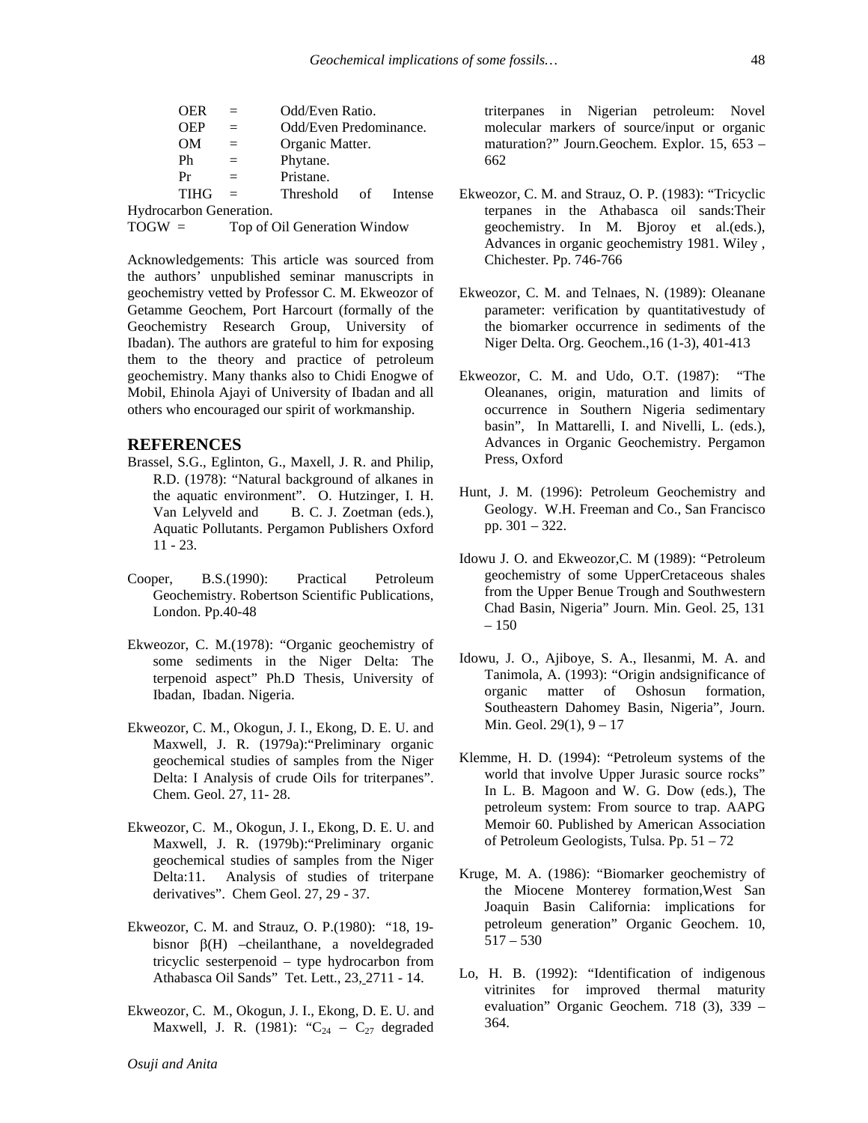| OER                     |     | Odd/Even Ratio.        |  |         |
|-------------------------|-----|------------------------|--|---------|
| <b>OEP</b>              | $=$ | Odd/Even Predominance. |  |         |
| OМ                      |     | Organic Matter.        |  |         |
| Ph                      |     | Phytane.               |  |         |
| Pr                      | $=$ | Pristane.              |  |         |
| <b>TIHG</b>             | $=$ | Threshold of           |  | Intense |
| Hydrocarbon Generation. |     |                        |  |         |

TOGW = Top of Oil Generation Window

Acknowledgements: This article was sourced from the authors' unpublished seminar manuscripts in geochemistry vetted by Professor C. M. Ekweozor of Getamme Geochem, Port Harcourt (formally of the Geochemistry Research Group, University of Ibadan). The authors are grateful to him for exposing them to the theory and practice of petroleum geochemistry. Many thanks also to Chidi Enogwe of Mobil, Ehinola Ajayi of University of Ibadan and all others who encouraged our spirit of workmanship.

# **REFERENCES**

- Brassel, S.G., Eglinton, G., Maxell, J. R. and Philip, R.D. (1978): "Natural background of alkanes in the aquatic environment". O. Hutzinger, I. H. Van Lelyveld and B. C. J. Zoetman (eds.), Aquatic Pollutants. Pergamon Publishers Oxford 11 - 23.
- Cooper, B.S.(1990): Practical Petroleum Geochemistry. Robertson Scientific Publications, London. Pp.40-48
- Ekweozor, C. M.(1978): "Organic geochemistry of some sediments in the Niger Delta: The terpenoid aspect" Ph.D Thesis, University of Ibadan, Ibadan. Nigeria.
- Ekweozor, C. M., Okogun, J. I., Ekong, D. E. U. and Maxwell, J. R. (1979a):"Preliminary organic geochemical studies of samples from the Niger Delta: I Analysis of crude Oils for triterpanes". Chem. Geol. 27, 11- 28.
- Ekweozor, C. M., Okogun, J. I., Ekong, D. E. U. and Maxwell, J. R. (1979b):"Preliminary organic geochemical studies of samples from the Niger Delta:11. Analysis of studies of triterpane derivatives". Chem Geol. 27, 29 - 37.
- Ekweozor, C. M. and Strauz, O. P.(1980): "18, 19 bisnor β(H) –cheilanthane, a noveldegraded tricyclic sesterpenoid – type hydrocarbon from Athabasca Oil Sands" Tet. Lett., 23, 2711 - 14.
- Ekweozor, C. M., Okogun, J. I., Ekong, D. E. U. and Maxwell, J. R. (1981): " $C_{24} - C_{27}$  degraded

triterpanes in Nigerian petroleum: Novel molecular markers of source/input or organic maturation?" Journ.Geochem. Explor. 15, 653 – 662

- Ekweozor, C. M. and Strauz, O. P. (1983): "Tricyclic terpanes in the Athabasca oil sands:Their geochemistry. In M. Bjoroy et al.(eds.), Advances in organic geochemistry 1981. Wiley , Chichester. Pp. 746-766
- Ekweozor, C. M. and Telnaes, N. (1989): Oleanane parameter: verification by quantitativestudy of the biomarker occurrence in sediments of the Niger Delta. Org. Geochem.,16 (1-3), 401-413
- Ekweozor, C. M. and Udo, O.T. (1987): "The Oleananes, origin, maturation and limits of occurrence in Southern Nigeria sedimentary basin", In Mattarelli, I. and Nivelli, L. (eds.), Advances in Organic Geochemistry. Pergamon Press, Oxford
- Hunt, J. M. (1996): Petroleum Geochemistry and Geology. W.H. Freeman and Co., San Francisco pp. 301 – 322.
- Idowu J. O. and Ekweozor,C. M (1989): "Petroleum geochemistry of some UpperCretaceous shales from the Upper Benue Trough and Southwestern Chad Basin, Nigeria" Journ. Min. Geol. 25, 131  $-150$
- Idowu, J. O., Ajiboye, S. A., Ilesanmi, M. A. and Tanimola, A. (1993): "Origin andsignificance of organic matter of Oshosun formation, Southeastern Dahomey Basin, Nigeria", Journ. Min. Geol. 29(1), 9 – 17
- Klemme, H. D. (1994): "Petroleum systems of the world that involve Upper Jurasic source rocks" In L. B. Magoon and W. G. Dow (eds.), The petroleum system: From source to trap. AAPG Memoir 60. Published by American Association of Petroleum Geologists, Tulsa. Pp. 51 – 72
- Kruge, M. A. (1986): "Biomarker geochemistry of the Miocene Monterey formation,West San Joaquin Basin California: implications for petroleum generation" Organic Geochem. 10, 517 – 530
- Lo, H. B. (1992): "Identification of indigenous vitrinites for improved thermal maturity evaluation" Organic Geochem. 718 (3), 339 – 364.